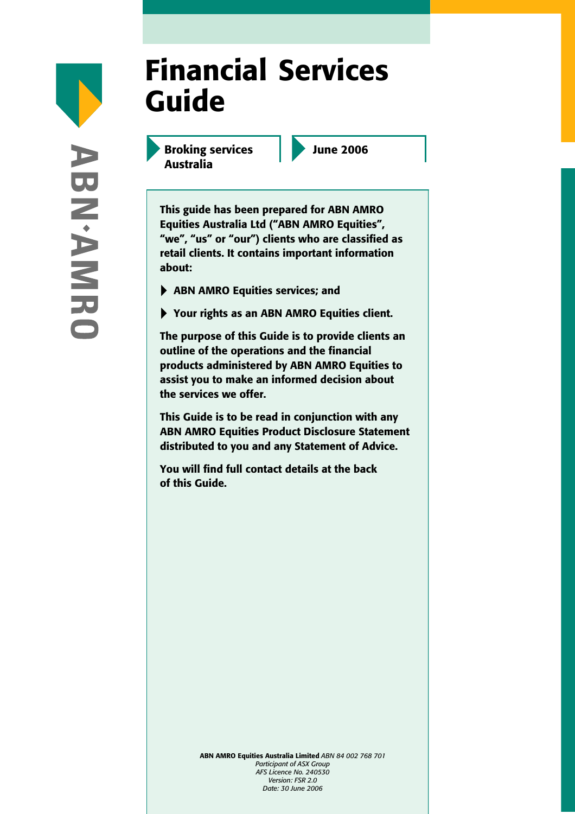# Financial Services Guide

Broking services Australia

June 2006

This guide has been prepared for ABN AMRO Equities Australia Ltd ("ABN AMRO Equities", "we", "us" or "our") clients who are classified as retail clients. It contains important information about:

- ▶ ABN AMRO Equities services; and
- ▶ Your rights as an ABN AMRO Equities client.

The purpose of this Guide is to provide clients an outline of the operations and the financial products administered by ABN AMRO Equities to assist you to make an informed decision about the services we offer.

This Guide is to be read in conjunction with any ABN AMRO Equities Product Disclosure Statement distributed to you and any Statement of Advice.

You will find full contact details at the back of this Guide.

> ABN AMRO Equities Australia Limited *ABN 84 002 768 701 Participant of ASX Group AFS Licence No. 240530 Version: FSR 2.0 Date: 30 June 2006*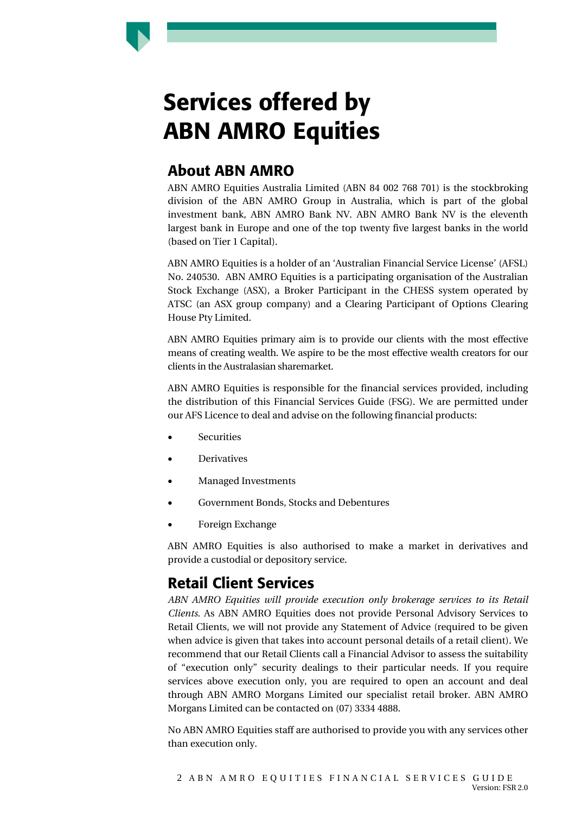

#### About ABN AMRO

ABN AMRO Equities Australia Limited (ABN 84 002 768 701) is the stockbroking division of the ABN AMRO Group in Australia, which is part of the global investment bank, ABN AMRO Bank NV. ABN AMRO Bank NV is the eleventh largest bank in Europe and one of the top twenty five largest banks in the world (based on Tier 1 Capital).

ABN AMRO Equities is a holder of an 'Australian Financial Service License' (AFSL) No. 240530. ABN AMRO Equities is a participating organisation of the Australian Stock Exchange (ASX), a Broker Participant in the CHESS system operated by ATSC (an ASX group company) and a Clearing Participant of Options Clearing House Pty Limited.

ABN AMRO Equities primary aim is to provide our clients with the most effective means of creating wealth. We aspire to be the most effective wealth creators for our clients in the Australasian sharemarket.

ABN AMRO Equities is responsible for the financial services provided, including the distribution of this Financial Services Guide (FSG). We are permitted under our AFS Licence to deal and advise on the following financial products:

- **Securities**
- **Derivatives**
- Managed Investments
- Government Bonds, Stocks and Debentures
- Foreign Exchange

ABN AMRO Equities is also authorised to make a market in derivatives and provide a custodial or depository service.

#### Retail Client Services

*ABN AMRO Equities will provide execution only brokerage services to its Retail Clients.* As ABN AMRO Equities does not provide Personal Advisory Services to Retail Clients, we will not provide any Statement of Advice (required to be given when advice is given that takes into account personal details of a retail client). We recommend that our Retail Clients call a Financial Advisor to assess the suitability of "execution only" security dealings to their particular needs. If you require services above execution only, you are required to open an account and deal through ABN AMRO Morgans Limited our specialist retail broker. ABN AMRO Morgans Limited can be contacted on (07) 3334 4888.

No ABN AMRO Equities staff are authorised to provide you with any services other than execution only.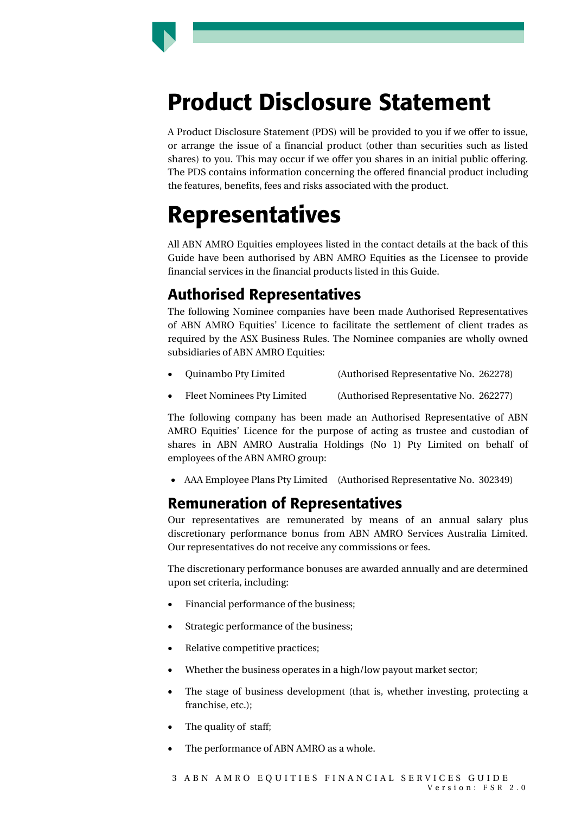

A Product Disclosure Statement (PDS) will be provided to you if we offer to issue, or arrange the issue of a financial product (other than securities such as listed shares) to you. This may occur if we offer you shares in an initial public offering. The PDS contains information concerning the offered financial product including the features, benefits, fees and risks associated with the product.

### Representatives

All ABN AMRO Equities employees listed in the contact details at the back of this Guide have been authorised by ABN AMRO Equities as the Licensee to provide financial services in the financial products listed in this Guide.

#### Authorised Representatives

The following Nominee companies have been made Authorised Representatives of ABN AMRO Equities' Licence to facilitate the settlement of client trades as required by the ASX Business Rules. The Nominee companies are wholly owned subsidiaries of ABN AMRO Equities:

- Quinambo Pty Limited (Authorised Representative No. 262278)
- Fleet Nominees Pty Limited (Authorised Representative No. 262277)

The following company has been made an Authorised Representative of ABN AMRO Equities' Licence for the purpose of acting as trustee and custodian of shares in ABN AMRO Australia Holdings (No 1) Pty Limited on behalf of employees of the ABN AMRO group:

• AAA Employee Plans Pty Limited (Authorised Representative No. 302349)

#### Remuneration of Representatives

Our representatives are remunerated by means of an annual salary plus discretionary performance bonus from ABN AMRO Services Australia Limited. Our representatives do not receive any commissions or fees.

The discretionary performance bonuses are awarded annually and are determined upon set criteria, including:

- Financial performance of the business;
- Strategic performance of the business;
- Relative competitive practices;
- Whether the business operates in a high/low payout market sector;
- The stage of business development (that is, whether investing, protecting a franchise, etc.);
- The quality of staff:
- The performance of ABN AMRO as a whole.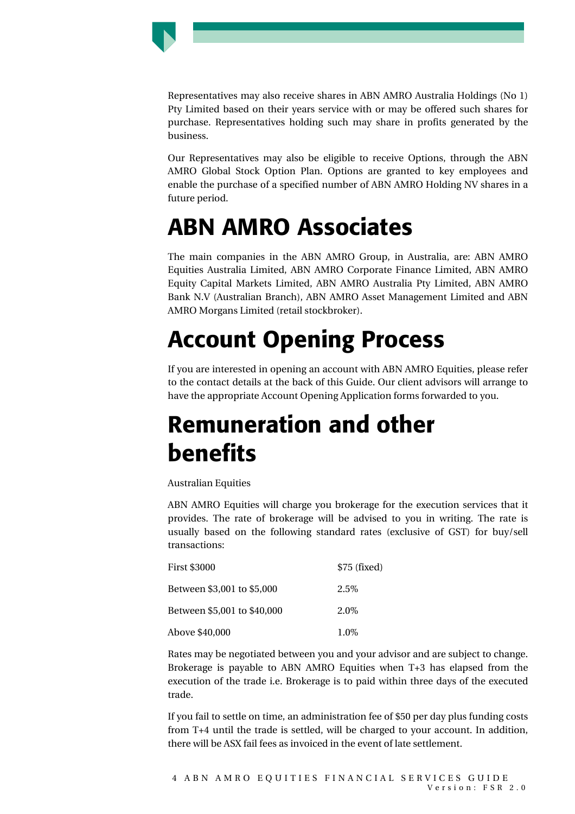

Representatives may also receive shares in ABN AMRO Australia Holdings (No 1) Pty Limited based on their years service with or may be offered such shares for purchase. Representatives holding such may share in profits generated by the business.

Our Representatives may also be eligible to receive Options, through the ABN AMRO Global Stock Option Plan. Options are granted to key employees and enable the purchase of a specified number of ABN AMRO Holding NV shares in a future period.

### ABN AMRO Associates

The main companies in the ABN AMRO Group, in Australia, are: ABN AMRO Equities Australia Limited, ABN AMRO Corporate Finance Limited, ABN AMRO Equity Capital Markets Limited, ABN AMRO Australia Pty Limited, ABN AMRO Bank N.V (Australian Branch), ABN AMRO Asset Management Limited and ABN AMRO Morgans Limited (retail stockbroker).

# Account Opening Process

If you are interested in opening an account with ABN AMRO Equities, please refer to the contact details at the back of this Guide. Our client advisors will arrange to have the appropriate Account Opening Application forms forwarded to you.

### Remuneration and other benefits

Australian Equities

ABN AMRO Equities will charge you brokerage for the execution services that it provides. The rate of brokerage will be advised to you in writing. The rate is usually based on the following standard rates (exclusive of GST) for buy/sell transactions:

| <b>First \$3000</b>         | $$75$ (fixed) |
|-----------------------------|---------------|
| Between \$3,001 to \$5,000  | 2.5\%         |
| Between \$5,001 to \$40,000 | 2.0%          |
| Above \$40,000              | 1.0%          |

Rates may be negotiated between you and your advisor and are subject to change. Brokerage is payable to ABN AMRO Equities when T+3 has elapsed from the execution of the trade i.e. Brokerage is to paid within three days of the executed trade.

If you fail to settle on time, an administration fee of \$50 per day plus funding costs from T+4 until the trade is settled, will be charged to your account. In addition, there will be ASX fail fees as invoiced in the event of late settlement.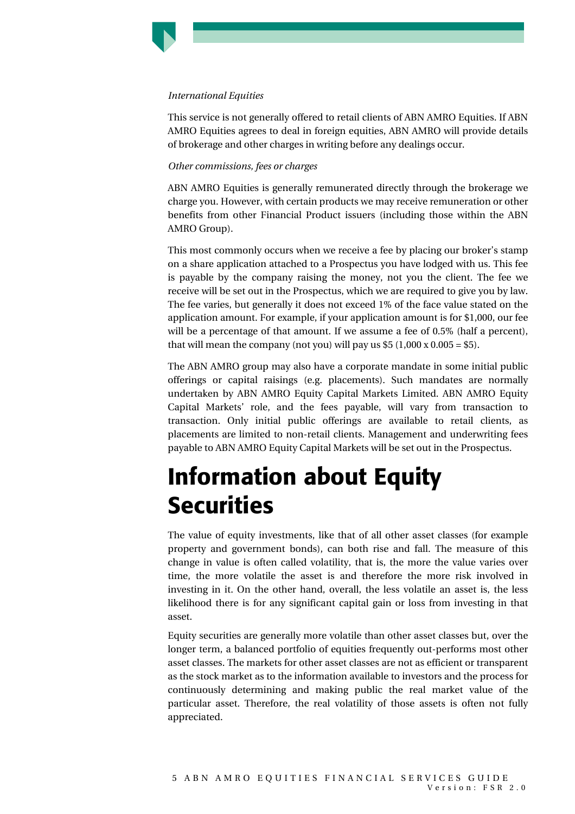#### *International Equities*

This service is not generally offered to retail clients of ABN AMRO Equities. If ABN AMRO Equities agrees to deal in foreign equities, ABN AMRO will provide details of brokerage and other charges in writing before any dealings occur.

#### *Other commissions, fees or charges*

ABN AMRO Equities is generally remunerated directly through the brokerage we charge you. However, with certain products we may receive remuneration or other benefits from other Financial Product issuers (including those within the ABN AMRO Group).

This most commonly occurs when we receive a fee by placing our broker's stamp on a share application attached to a Prospectus you have lodged with us. This fee is payable by the company raising the money, not you the client. The fee we receive will be set out in the Prospectus, which we are required to give you by law. The fee varies, but generally it does not exceed 1% of the face value stated on the application amount. For example, if your application amount is for \$1,000, our fee will be a percentage of that amount. If we assume a fee of 0.5% (half a percent), that will mean the company (not you) will pay us  $$5$  (1,000 x 0.005 = \$5).

The ABN AMRO group may also have a corporate mandate in some initial public offerings or capital raisings (e.g. placements). Such mandates are normally undertaken by ABN AMRO Equity Capital Markets Limited. ABN AMRO Equity Capital Markets' role, and the fees payable, will vary from transaction to transaction. Only initial public offerings are available to retail clients, as placements are limited to non-retail clients. Management and underwriting fees payable to ABN AMRO Equity Capital Markets will be set out in the Prospectus.

### Information about Equity **Securities**

The value of equity investments, like that of all other asset classes (for example property and government bonds), can both rise and fall. The measure of this change in value is often called volatility, that is, the more the value varies over time, the more volatile the asset is and therefore the more risk involved in investing in it. On the other hand, overall, the less volatile an asset is, the less likelihood there is for any significant capital gain or loss from investing in that asset.

Equity securities are generally more volatile than other asset classes but, over the longer term, a balanced portfolio of equities frequently out-performs most other asset classes. The markets for other asset classes are not as efficient or transparent as the stock market as to the information available to investors and the process for continuously determining and making public the real market value of the particular asset. Therefore, the real volatility of those assets is often not fully appreciated.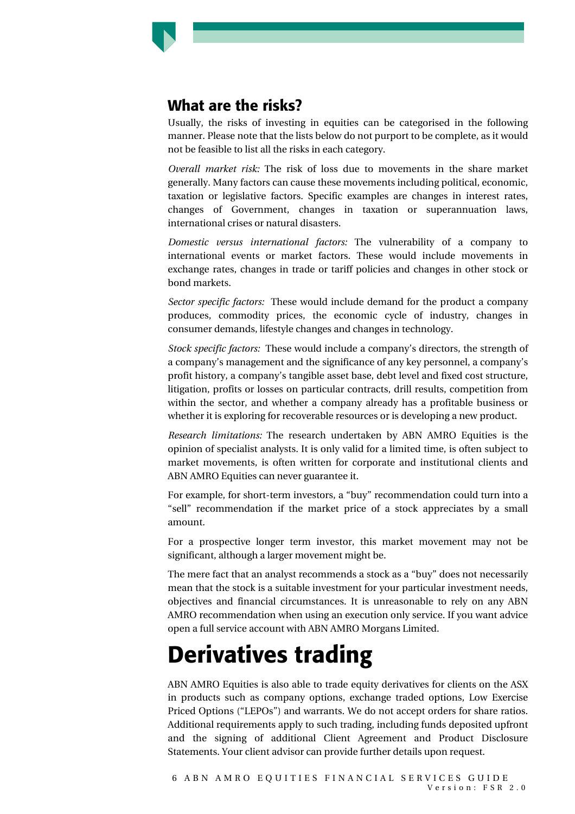

#### What are the risks?

Usually, the risks of investing in equities can be categorised in the following manner. Please note that the lists below do not purport to be complete, as it would not be feasible to list all the risks in each category.

*Overall market risk:* The risk of loss due to movements in the share market generally. Many factors can cause these movements including political, economic, taxation or legislative factors. Specific examples are changes in interest rates, changes of Government, changes in taxation or superannuation laws, international crises or natural disasters.

*Domestic versus international factors:* The vulnerability of a company to international events or market factors. These would include movements in exchange rates, changes in trade or tariff policies and changes in other stock or bond markets.

*Sector specific factors:* These would include demand for the product a company produces, commodity prices, the economic cycle of industry, changes in consumer demands, lifestyle changes and changes in technology.

*Stock specific factors:* These would include a company's directors, the strength of a company's management and the significance of any key personnel, a company's profit history, a company's tangible asset base, debt level and fixed cost structure, litigation, profits or losses on particular contracts, drill results, competition from within the sector, and whether a company already has a profitable business or whether it is exploring for recoverable resources or is developing a new product.

*Research limitations:* The research undertaken by ABN AMRO Equities is the opinion of specialist analysts. It is only valid for a limited time, is often subject to market movements, is often written for corporate and institutional clients and ABN AMRO Equities can never guarantee it.

For example, for short-term investors, a "buy" recommendation could turn into a "sell" recommendation if the market price of a stock appreciates by a small amount.

For a prospective longer term investor, this market movement may not be significant, although a larger movement might be.

The mere fact that an analyst recommends a stock as a "buy" does not necessarily mean that the stock is a suitable investment for your particular investment needs, objectives and financial circumstances. It is unreasonable to rely on any ABN AMRO recommendation when using an execution only service. If you want advice open a full service account with ABN AMRO Morgans Limited.

### Derivatives trading

ABN AMRO Equities is also able to trade equity derivatives for clients on the ASX in products such as company options, exchange traded options, Low Exercise Priced Options ("LEPOs") and warrants. We do not accept orders for share ratios. Additional requirements apply to such trading, including funds deposited upfront and the signing of additional Client Agreement and Product Disclosure Statements. Your client advisor can provide further details upon request.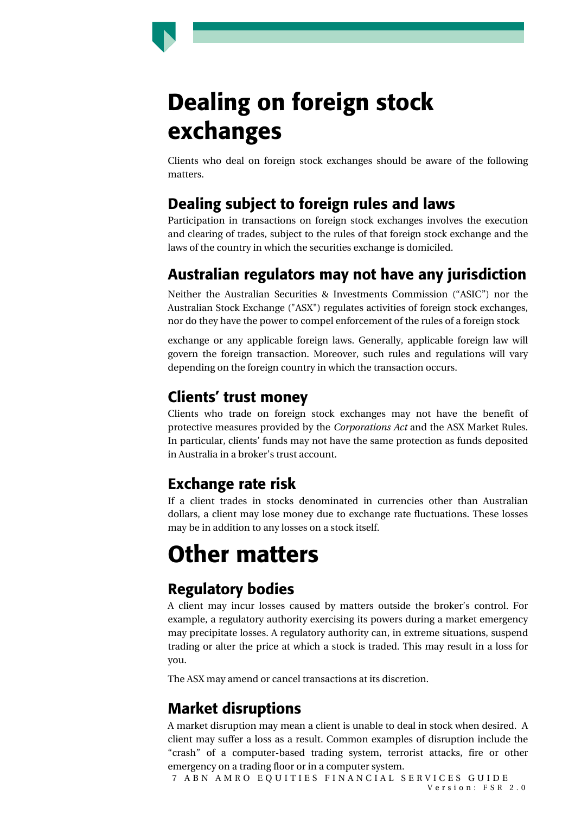# Dealing on foreign stock exchanges

Clients who deal on foreign stock exchanges should be aware of the following matters.

### Dealing subject to foreign rules and laws

Participation in transactions on foreign stock exchanges involves the execution and clearing of trades, subject to the rules of that foreign stock exchange and the laws of the country in which the securities exchange is domiciled.

### Australian regulators may not have any jurisdiction

Neither the Australian Securities & Investments Commission ("ASIC") nor the Australian Stock Exchange ("ASX") regulates activities of foreign stock exchanges, nor do they have the power to compel enforcement of the rules of a foreign stock

exchange or any applicable foreign laws. Generally, applicable foreign law will govern the foreign transaction. Moreover, such rules and regulations will vary depending on the foreign country in which the transaction occurs.

#### Clients' trust money

Clients who trade on foreign stock exchanges may not have the benefit of protective measures provided by the *Corporations Act* and the ASX Market Rules. In particular, clients' funds may not have the same protection as funds deposited in Australia in a broker's trust account.

### Exchange rate risk

If a client trades in stocks denominated in currencies other than Australian dollars, a client may lose money due to exchange rate fluctuations. These losses may be in addition to any losses on a stock itself.

# Other matters

### Regulatory bodies

A client may incur losses caused by matters outside the broker's control. For example, a regulatory authority exercising its powers during a market emergency may precipitate losses. A regulatory authority can, in extreme situations, suspend trading or alter the price at which a stock is traded. This may result in a loss for you.

The ASX may amend or cancel transactions at its discretion.

### Market disruptions

A market disruption may mean a client is unable to deal in stock when desired. A client may suffer a loss as a result. Common examples of disruption include the "crash" of a computer-based trading system, terrorist attacks, fire or other emergency on a trading floor or in a computer system.

7 ABN AMRO EQUITIES FINANCIAL SERVICES GUIDE Version: FSR 2.0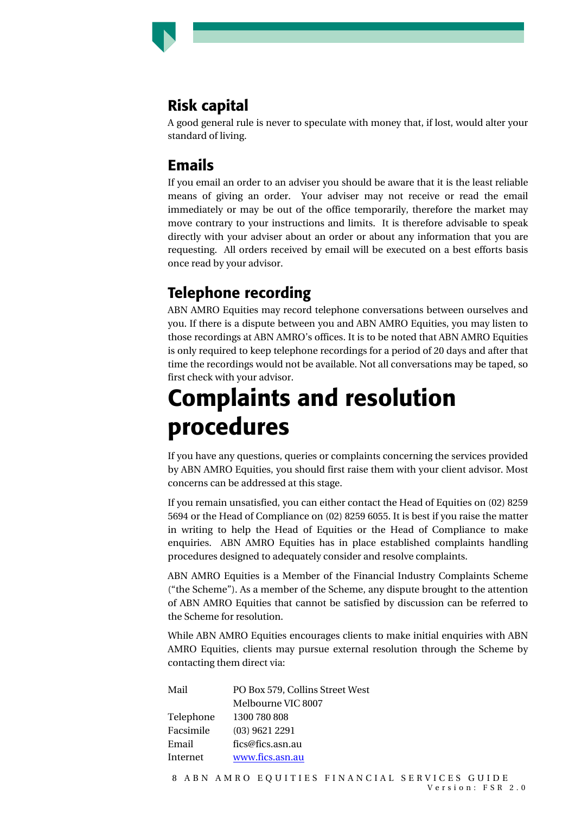### Risk capital

A good general rule is never to speculate with money that, if lost, would alter your standard of living.

#### Emails

If you email an order to an adviser you should be aware that it is the least reliable means of giving an order. Your adviser may not receive or read the email immediately or may be out of the office temporarily, therefore the market may move contrary to your instructions and limits. It is therefore advisable to speak directly with your adviser about an order or about any information that you are requesting. All orders received by email will be executed on a best efforts basis once read by your advisor.

### Telephone recording

ABN AMRO Equities may record telephone conversations between ourselves and you. If there is a dispute between you and ABN AMRO Equities, you may listen to those recordings at ABN AMRO's offices. It is to be noted that ABN AMRO Equities is only required to keep telephone recordings for a period of 20 days and after that time the recordings would not be available. Not all conversations may be taped, so first check with your advisor.

### Complaints and resolution procedures

If you have any questions, queries or complaints concerning the services provided by ABN AMRO Equities, you should first raise them with your client advisor. Most concerns can be addressed at this stage.

If you remain unsatisfied, you can either contact the Head of Equities on (02) 8259 5694 or the Head of Compliance on (02) 8259 6055. It is best if you raise the matter in writing to help the Head of Equities or the Head of Compliance to make enquiries. ABN AMRO Equities has in place established complaints handling procedures designed to adequately consider and resolve complaints.

ABN AMRO Equities is a Member of the Financial Industry Complaints Scheme ("the Scheme"). As a member of the Scheme, any dispute brought to the attention of ABN AMRO Equities that cannot be satisfied by discussion can be referred to the Scheme for resolution.

While ABN AMRO Equities encourages clients to make initial enquiries with ABN AMRO Equities, clients may pursue external resolution through the Scheme by contacting them direct via:

| Mail      | PO Box 579, Collins Street West |
|-----------|---------------------------------|
|           | Melbourne VIC 8007              |
| Telephone | 1300 780 808                    |
| Facsimile | $(03)$ 9621 2291                |
| Email     | fics@fics.asn.au                |
| Internet  | www.fics.asn.au                 |
|           |                                 |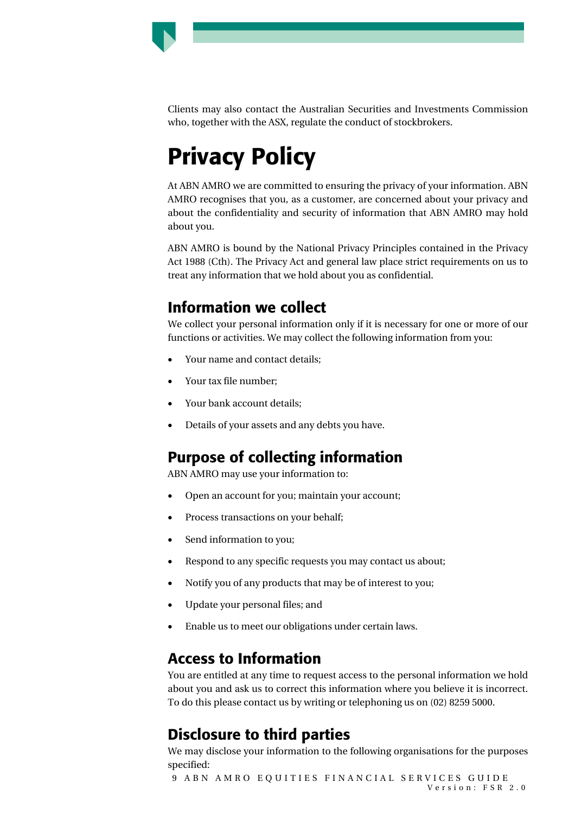

Clients may also contact the Australian Securities and Investments Commission who, together with the ASX, regulate the conduct of stockbrokers.

# Privacy Policy

At ABN AMRO we are committed to ensuring the privacy of your information. ABN AMRO recognises that you, as a customer, are concerned about your privacy and about the confidentiality and security of information that ABN AMRO may hold about you.

ABN AMRO is bound by the National Privacy Principles contained in the Privacy Act 1988 (Cth). The Privacy Act and general law place strict requirements on us to treat any information that we hold about you as confidential.

#### Information we collect

We collect your personal information only if it is necessary for one or more of our functions or activities. We may collect the following information from you:

- Your name and contact details;
- Your tax file number;
- Your bank account details;
- Details of your assets and any debts you have.

### Purpose of collecting information

ABN AMRO may use your information to:

- Open an account for you; maintain your account;
- Process transactions on your behalf;
- Send information to you;
- Respond to any specific requests you may contact us about;
- Notify you of any products that may be of interest to you;
- Update your personal files; and
- Enable us to meet our obligations under certain laws.

### Access to Information

You are entitled at any time to request access to the personal information we hold about you and ask us to correct this information where you believe it is incorrect. To do this please contact us by writing or telephoning us on (02) 8259 5000.

### Disclosure to third parties

We may disclose your information to the following organisations for the purposes specified:

9 ABN AMRO EQUITIES FINANCIAL SERVICES GUIDE Version: FSR 2.0